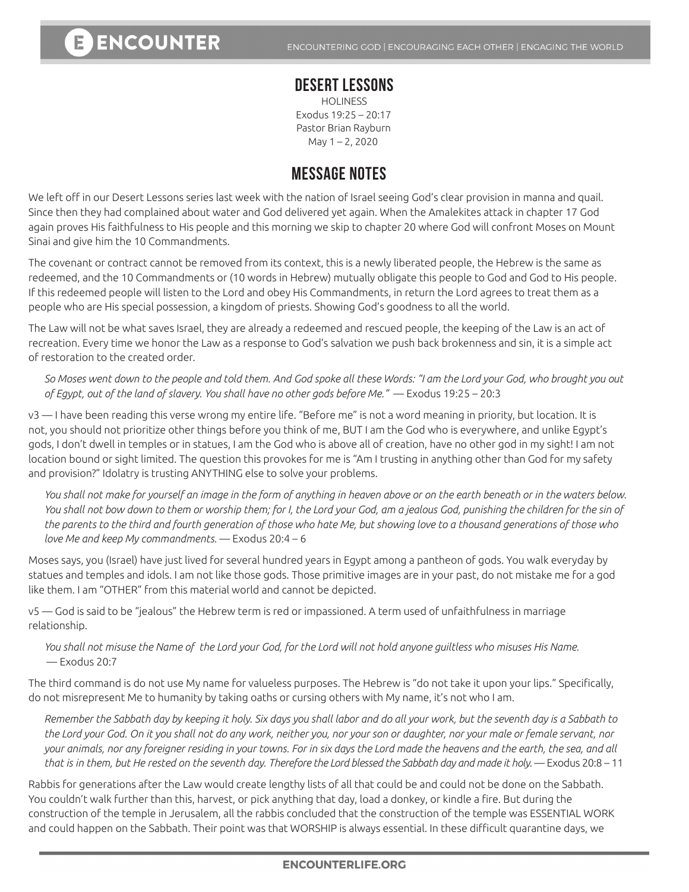## **DESERT LESSONS**

**HOLINESS** Exodus 19:25 – 20:17 Pastor Brian Rayburn May 1 – 2, 2020

## **MESSAGE NOTES**

We left off in our Desert Lessons series last week with the nation of Israel seeing God's clear provision in manna and quail. Since then they had complained about water and God delivered yet again. When the Amalekites attack in chapter 17 God again proves His faithfulness to His people and this morning we skip to chapter 20 where God will confront Moses on Mount Sinai and give him the 10 Commandments.

The covenant or contract cannot be removed from its context, this is a newly liberated people, the Hebrew is the same as redeemed, and the 10 Commandments or (10 words in Hebrew) mutually obligate this people to God and God to His people. If this redeemed people will listen to the Lord and obey His Commandments, in return the Lord agrees to treat them as a people who are His special possession, a kingdom of priests. Showing God's goodness to all the world.

The Law will not be what saves Israel, they are already a redeemed and rescued people, the keeping of the Law is an act of recreation. Every time we honor the Law as a response to God's salvation we push back brokenness and sin, it is a simple act of restoration to the created order.

*So Moses went down to the people and told them. And God spoke all these Words: "I am the Lord your God, who brought you out of Egypt, out of the land of slavery. You shall have no other gods before Me."* — Exodus 19:25 – 20:3

v3 — I have been reading this verse wrong my entire life. "Before me" is not a word meaning in priority, but location. It is not, you should not prioritize other things before you think of me, BUT I am the God who is everywhere, and unlike Egypt's gods, I don't dwell in temples or in statues, I am the God who is above all of creation, have no other god in my sight! I am not location bound or sight limited. The question this provokes for me is "Am I trusting in anything other than God for my safety and provision?" Idolatry is trusting ANYTHING else to solve your problems.

*You shall not make for yourself an image in the form of anything in heaven above or on the earth beneath or in the waters below.*  You shall not bow down to them or worship them; for I, the Lord your God, am a jealous God, punishing the children for the sin of *the parents to the third and fourth generation of those who hate Me, but showing love to a thousand generations of those who love Me and keep My commandments.* — Exodus 20:4 – 6

Moses says, you (Israel) have just lived for several hundred years in Egypt among a pantheon of gods. You walk everyday by statues and temples and idols. I am not like those gods. Those primitive images are in your past, do not mistake me for a god like them. I am "OTHER" from this material world and cannot be depicted.

v5 — God is said to be "jealous" the Hebrew term is red or impassioned. A term used of unfaithfulness in marriage relationship.

*You shall not misuse the Name of the Lord your God, for the Lord will not hold anyone guiltless who misuses His Name.*  — Exodus 20:7

The third command is do not use My name for valueless purposes. The Hebrew is "do not take it upon your lips." Specifically, do not misrepresent Me to humanity by taking oaths or cursing others with My name, it's not who I am.

*Remember the Sabbath day by keeping it holy. Six days you shall labor and do all your work, but the seventh day is a Sabbath to the Lord your God. On it you shall not do any work, neither you, nor your son or daughter, nor your male or female servant, nor your animals, nor any foreigner residing in your towns. For in six days the Lord made the heavens and the earth, the sea, and all*  that is in them, but He rested on the seventh day. Therefore the Lord blessed the Sabbath day and made it holy. — Exodus 20:8 – 11

Rabbis for generations after the Law would create lengthy lists of all that could be and could not be done on the Sabbath. You couldn't walk further than this, harvest, or pick anything that day, load a donkey, or kindle a fire. But during the construction of the temple in Jerusalem, all the rabbis concluded that the construction of the temple was ESSENTIAL WORK and could happen on the Sabbath. Their point was that WORSHIP is always essential. In these difficult quarantine days, we